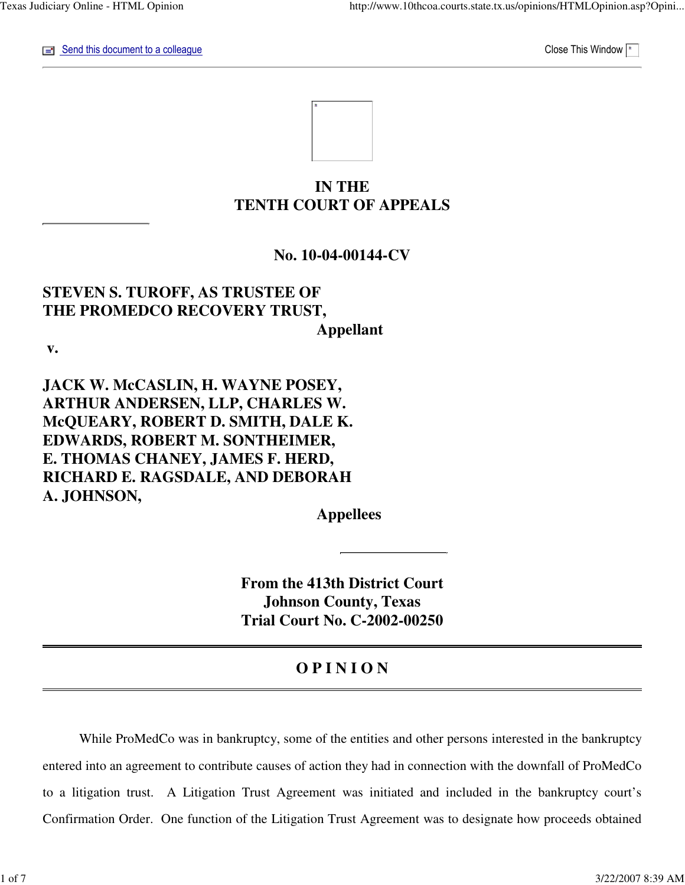$\equiv$  Send this document to a colleague Close This Window  $\sim$ 

# **IN THE TENTH COURT OF APPEALS**

# **No. 10-04-00144-CV**

# **STEVEN S. TUROFF, AS TRUSTEE OF THE PROMEDCO RECOVERY TRUST, Appellant**

 **v.**

**JACK W. McCASLIN, H. WAYNE POSEY, ARTHUR ANDERSEN, LLP, CHARLES W. McQUEARY, ROBERT D. SMITH, DALE K. EDWARDS, ROBERT M. SONTHEIMER, E. THOMAS CHANEY, JAMES F. HERD, RICHARD E. RAGSDALE, AND DEBORAH A. JOHNSON,**

 **Appellees**

**From the 413th District Court Johnson County, Texas Trial Court No. C-2002-00250**

# **O P I N I O N**

 While ProMedCo was in bankruptcy, some of the entities and other persons interested in the bankruptcy entered into an agreement to contribute causes of action they had in connection with the downfall of ProMedCo to a litigation trust. A Litigation Trust Agreement was initiated and included in the bankruptcy court's Confirmation Order. One function of the Litigation Trust Agreement was to designate how proceeds obtained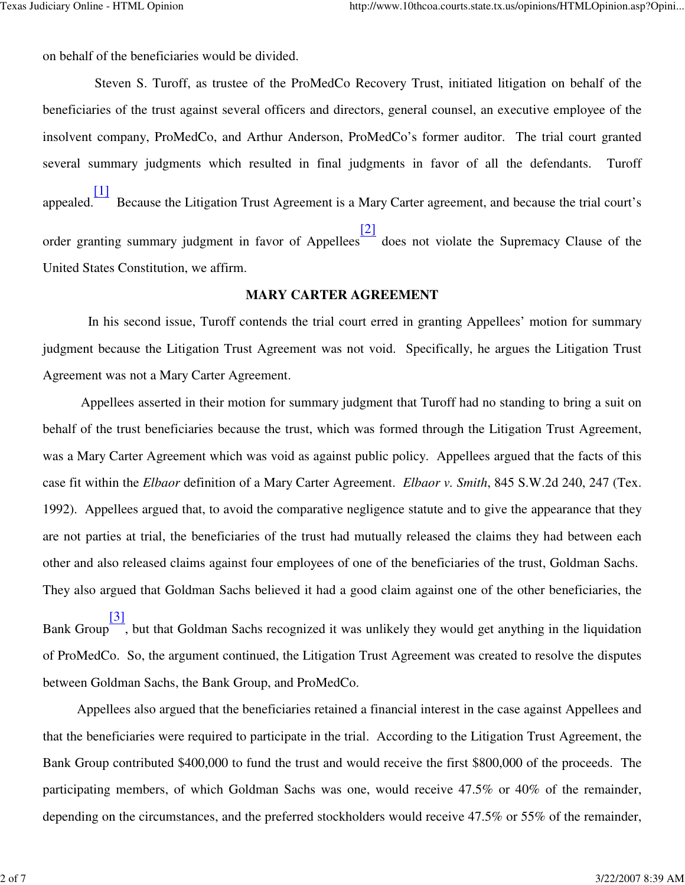on behalf of the beneficiaries would be divided.

 Steven S. Turoff, as trustee of the ProMedCo Recovery Trust, initiated litigation on behalf of the beneficiaries of the trust against several officers and directors, general counsel, an executive employee of the insolvent company, ProMedCo, and Arthur Anderson, ProMedCo's former auditor. The trial court granted several summary judgments which resulted in final judgments in favor of all the defendants. Turoff appealed. [1] Because the Litigation Trust Agreement is a Mary Carter agreement, and because the trial court's order granting summary judgment in favor of Appellees [2] does not violate the Supremacy Clause of the United States Constitution, we affirm.

#### **MARY CARTER AGREEMENT**

 In his second issue, Turoff contends the trial court erred in granting Appellees' motion for summary judgment because the Litigation Trust Agreement was not void. Specifically, he argues the Litigation Trust Agreement was not a Mary Carter Agreement.

 Appellees asserted in their motion for summary judgment that Turoff had no standing to bring a suit on behalf of the trust beneficiaries because the trust, which was formed through the Litigation Trust Agreement, was a Mary Carter Agreement which was void as against public policy. Appellees argued that the facts of this case fit within the *Elbaor* definition of a Mary Carter Agreement. *Elbaor v. Smith*, 845 S.W.2d 240, 247 (Tex. 1992). Appellees argued that, to avoid the comparative negligence statute and to give the appearance that they are not parties at trial, the beneficiaries of the trust had mutually released the claims they had between each other and also released claims against four employees of one of the beneficiaries of the trust, Goldman Sachs. They also argued that Goldman Sachs believed it had a good claim against one of the other beneficiaries, the

Bank Group [3] , but that Goldman Sachs recognized it was unlikely they would get anything in the liquidation of ProMedCo. So, the argument continued, the Litigation Trust Agreement was created to resolve the disputes between Goldman Sachs, the Bank Group, and ProMedCo.

 Appellees also argued that the beneficiaries retained a financial interest in the case against Appellees and that the beneficiaries were required to participate in the trial. According to the Litigation Trust Agreement, the Bank Group contributed \$400,000 to fund the trust and would receive the first \$800,000 of the proceeds. The participating members, of which Goldman Sachs was one, would receive 47.5% or 40% of the remainder, depending on the circumstances, and the preferred stockholders would receive 47.5% or 55% of the remainder,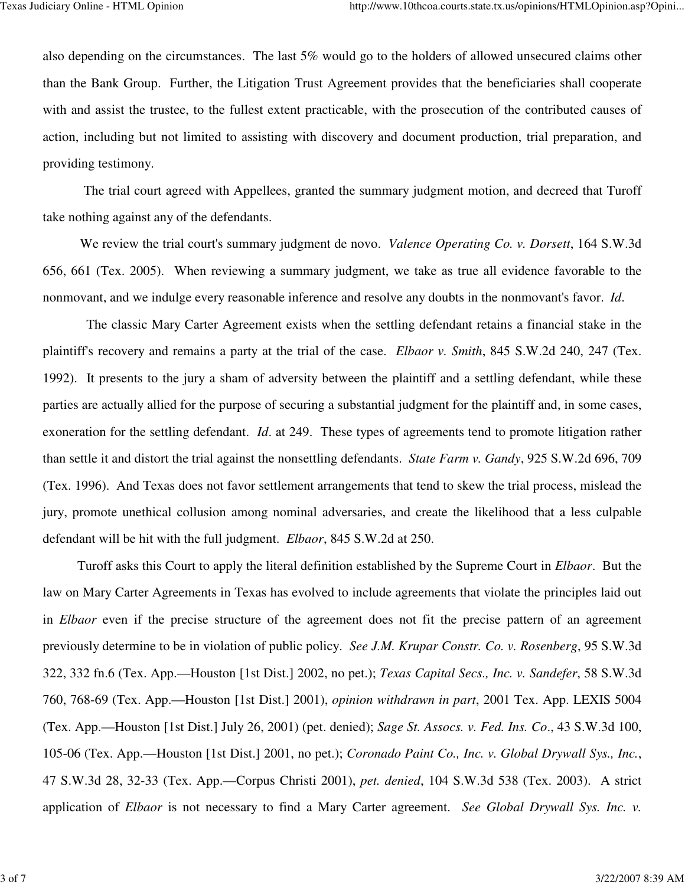also depending on the circumstances. The last 5% would go to the holders of allowed unsecured claims other than the Bank Group. Further, the Litigation Trust Agreement provides that the beneficiaries shall cooperate with and assist the trustee, to the fullest extent practicable, with the prosecution of the contributed causes of action, including but not limited to assisting with discovery and document production, trial preparation, and providing testimony.

 The trial court agreed with Appellees, granted the summary judgment motion, and decreed that Turoff take nothing against any of the defendants.

 We review the trial court's summary judgment de novo. *Valence Operating Co. v. Dorsett*, 164 S.W.3d 656, 661 (Tex. 2005). When reviewing a summary judgment, we take as true all evidence favorable to the nonmovant, and we indulge every reasonable inference and resolve any doubts in the nonmovant's favor. *Id*.

 The classic Mary Carter Agreement exists when the settling defendant retains a financial stake in the plaintiff's recovery and remains a party at the trial of the case. *Elbaor v. Smith*, 845 S.W.2d 240, 247 (Tex. 1992). It presents to the jury a sham of adversity between the plaintiff and a settling defendant, while these parties are actually allied for the purpose of securing a substantial judgment for the plaintiff and, in some cases, exoneration for the settling defendant. *Id*. at 249. These types of agreements tend to promote litigation rather than settle it and distort the trial against the nonsettling defendants. *State Farm v. Gandy*, 925 S.W.2d 696, 709 (Tex. 1996). And Texas does not favor settlement arrangements that tend to skew the trial process, mislead the jury, promote unethical collusion among nominal adversaries, and create the likelihood that a less culpable defendant will be hit with the full judgment. *Elbaor*, 845 S.W.2d at 250.

 Turoff asks this Court to apply the literal definition established by the Supreme Court in *Elbaor*. But the law on Mary Carter Agreements in Texas has evolved to include agreements that violate the principles laid out in *Elbaor* even if the precise structure of the agreement does not fit the precise pattern of an agreement previously determine to be in violation of public policy. *See J.M. Krupar Constr. Co. v. Rosenberg*, 95 S.W.3d 322, 332 fn.6 (Tex. App.—Houston [1st Dist.] 2002, no pet.); *Texas Capital Secs., Inc. v. Sandefer*, 58 S.W.3d 760, 768-69 (Tex. App.—Houston [1st Dist.] 2001), *opinion withdrawn in part*, 2001 Tex. App. LEXIS 5004 (Tex. App.—Houston [1st Dist.] July 26, 2001) (pet. denied); *Sage St. Assocs. v. Fed. Ins. Co*., 43 S.W.3d 100, 105-06 (Tex. App.—Houston [1st Dist.] 2001, no pet.); *Coronado Paint Co., Inc. v. Global Drywall Sys., Inc.*, 47 S.W.3d 28, 32-33 (Tex. App.—Corpus Christi 2001), *pet. denied*, 104 S.W.3d 538 (Tex. 2003). A strict application of *Elbaor* is not necessary to find a Mary Carter agreement. *See Global Drywall Sys. Inc. v.*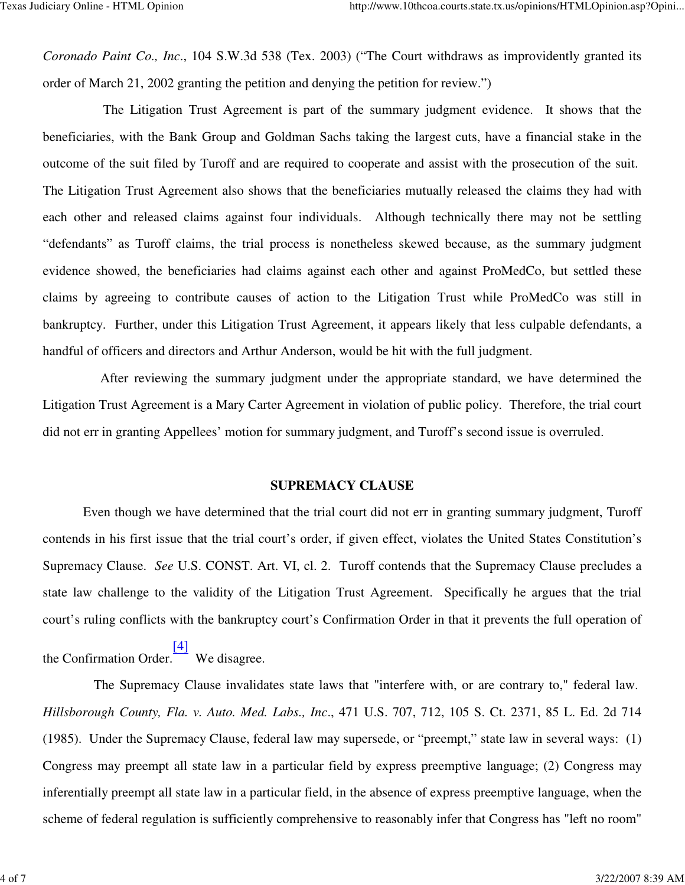*Coronado Paint Co., Inc*., 104 S.W.3d 538 (Tex. 2003) ("The Court withdraws as improvidently granted its order of March 21, 2002 granting the petition and denying the petition for review.")

 The Litigation Trust Agreement is part of the summary judgment evidence. It shows that the beneficiaries, with the Bank Group and Goldman Sachs taking the largest cuts, have a financial stake in the outcome of the suit filed by Turoff and are required to cooperate and assist with the prosecution of the suit. The Litigation Trust Agreement also shows that the beneficiaries mutually released the claims they had with each other and released claims against four individuals. Although technically there may not be settling "defendants" as Turoff claims, the trial process is nonetheless skewed because, as the summary judgment evidence showed, the beneficiaries had claims against each other and against ProMedCo, but settled these claims by agreeing to contribute causes of action to the Litigation Trust while ProMedCo was still in bankruptcy. Further, under this Litigation Trust Agreement, it appears likely that less culpable defendants, a handful of officers and directors and Arthur Anderson, would be hit with the full judgment.

 After reviewing the summary judgment under the appropriate standard, we have determined the Litigation Trust Agreement is a Mary Carter Agreement in violation of public policy. Therefore, the trial court did not err in granting Appellees' motion for summary judgment, and Turoff's second issue is overruled.

#### **SUPREMACY CLAUSE**

 Even though we have determined that the trial court did not err in granting summary judgment, Turoff contends in his first issue that the trial court's order, if given effect, violates the United States Constitution's Supremacy Clause. *See* U.S. CONST. Art. VI, cl. 2. Turoff contends that the Supremacy Clause precludes a state law challenge to the validity of the Litigation Trust Agreement. Specifically he argues that the trial court's ruling conflicts with the bankruptcy court's Confirmation Order in that it prevents the full operation of

the Confirmation Order. [4] We disagree.

 The Supremacy Clause invalidates state laws that "interfere with, or are contrary to," federal law. *Hillsborough County, Fla. v. Auto. Med. Labs., Inc*., 471 U.S. 707, 712, 105 S. Ct. 2371, 85 L. Ed. 2d 714 (1985). Under the Supremacy Clause, federal law may supersede, or "preempt," state law in several ways: (1) Congress may preempt all state law in a particular field by express preemptive language; (2) Congress may inferentially preempt all state law in a particular field, in the absence of express preemptive language, when the scheme of federal regulation is sufficiently comprehensive to reasonably infer that Congress has "left no room"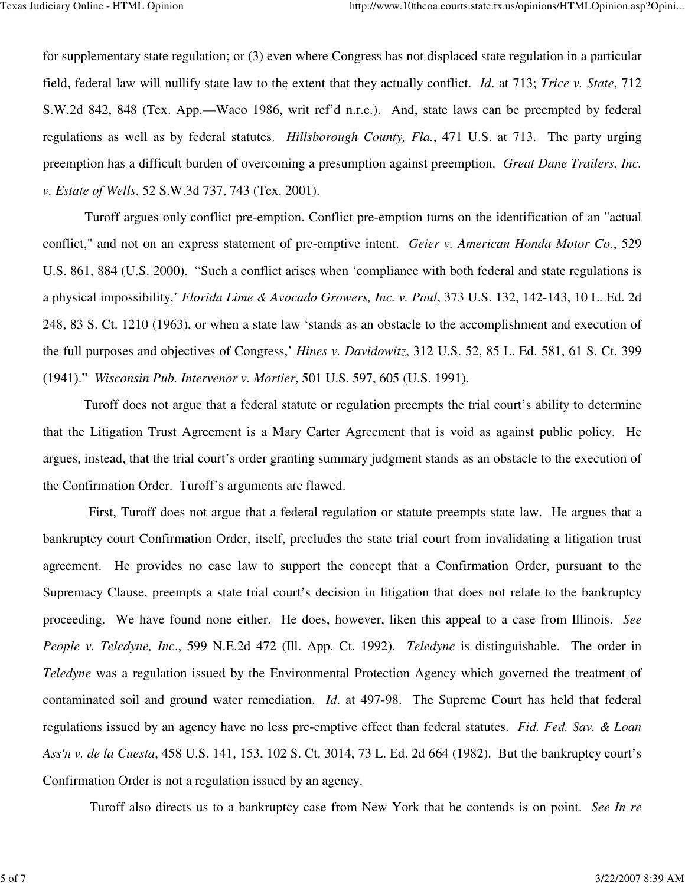for supplementary state regulation; or (3) even where Congress has not displaced state regulation in a particular field, federal law will nullify state law to the extent that they actually conflict. *Id*. at 713; *Trice v. State*, 712 S.W.2d 842, 848 (Tex. App.—Waco 1986, writ ref'd n.r.e.). And, state laws can be preempted by federal regulations as well as by federal statutes. *Hillsborough County, Fla.*, 471 U.S. at 713. The party urging preemption has a difficult burden of overcoming a presumption against preemption. *Great Dane Trailers, Inc. v. Estate of Wells*, 52 S.W.3d 737, 743 (Tex. 2001).

 Turoff argues only conflict pre-emption. Conflict pre-emption turns on the identification of an "actual conflict," and not on an express statement of pre-emptive intent. *Geier v. American Honda Motor Co.*, 529 U.S. 861, 884 (U.S. 2000). "Such a conflict arises when 'compliance with both federal and state regulations is a physical impossibility,' *Florida Lime & Avocado Growers, Inc. v. Paul*, 373 U.S. 132, 142-143, 10 L. Ed. 2d 248, 83 S. Ct. 1210 (1963), or when a state law 'stands as an obstacle to the accomplishment and execution of the full purposes and objectives of Congress,' *Hines v. Davidowitz*, 312 U.S. 52, 85 L. Ed. 581, 61 S. Ct. 399 (1941)." *Wisconsin Pub. Intervenor v. Mortier*, 501 U.S. 597, 605 (U.S. 1991).

 Turoff does not argue that a federal statute or regulation preempts the trial court's ability to determine that the Litigation Trust Agreement is a Mary Carter Agreement that is void as against public policy. He argues, instead, that the trial court's order granting summary judgment stands as an obstacle to the execution of the Confirmation Order. Turoff's arguments are flawed.

 First, Turoff does not argue that a federal regulation or statute preempts state law. He argues that a bankruptcy court Confirmation Order, itself, precludes the state trial court from invalidating a litigation trust agreement. He provides no case law to support the concept that a Confirmation Order, pursuant to the Supremacy Clause, preempts a state trial court's decision in litigation that does not relate to the bankruptcy proceeding. We have found none either. He does, however, liken this appeal to a case from Illinois. *See People v. Teledyne, Inc*., 599 N.E.2d 472 (Ill. App. Ct. 1992). *Teledyne* is distinguishable. The order in *Teledyne* was a regulation issued by the Environmental Protection Agency which governed the treatment of contaminated soil and ground water remediation. *Id*. at 497-98. The Supreme Court has held that federal regulations issued by an agency have no less pre-emptive effect than federal statutes. *Fid. Fed. Sav. & Loan Ass'n v. de la Cuesta*, 458 U.S. 141, 153, 102 S. Ct. 3014, 73 L. Ed. 2d 664 (1982). But the bankruptcy court's Confirmation Order is not a regulation issued by an agency.

Turoff also directs us to a bankruptcy case from New York that he contends is on point. *See In re*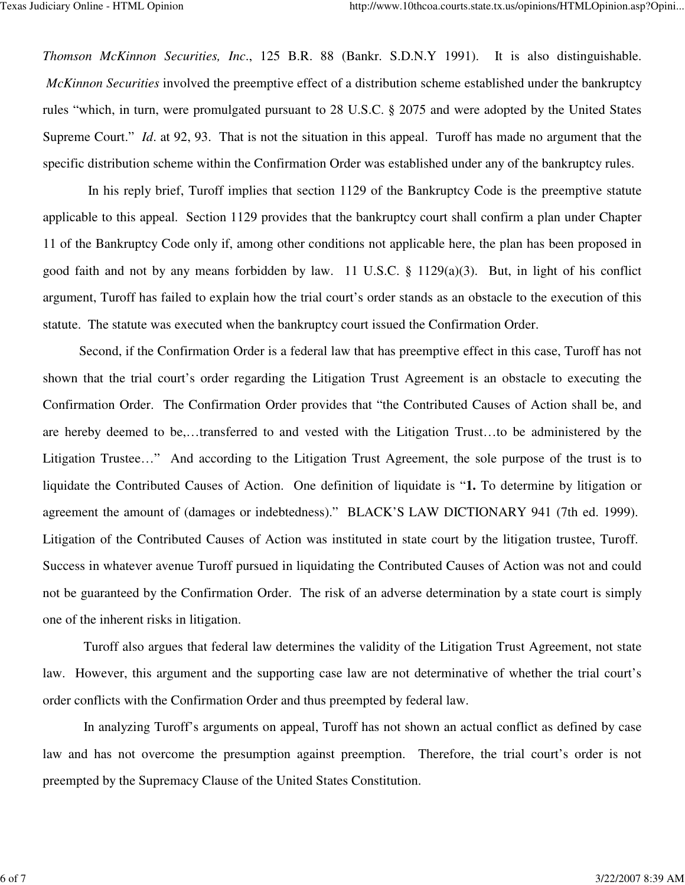*Thomson McKinnon Securities, Inc*., 125 B.R. 88 (Bankr. S.D.N.Y 1991). It is also distinguishable. *McKinnon Securities* involved the preemptive effect of a distribution scheme established under the bankruptcy rules "which, in turn, were promulgated pursuant to 28 U.S.C. § 2075 and were adopted by the United States Supreme Court." *Id.* at 92, 93. That is not the situation in this appeal. Turoff has made no argument that the specific distribution scheme within the Confirmation Order was established under any of the bankruptcy rules.

 In his reply brief, Turoff implies that section 1129 of the Bankruptcy Code is the preemptive statute applicable to this appeal. Section 1129 provides that the bankruptcy court shall confirm a plan under Chapter 11 of the Bankruptcy Code only if, among other conditions not applicable here, the plan has been proposed in good faith and not by any means forbidden by law. 11 U.S.C. § 1129(a)(3). But, in light of his conflict argument, Turoff has failed to explain how the trial court's order stands as an obstacle to the execution of this statute. The statute was executed when the bankruptcy court issued the Confirmation Order.

 Second, if the Confirmation Order is a federal law that has preemptive effect in this case, Turoff has not shown that the trial court's order regarding the Litigation Trust Agreement is an obstacle to executing the Confirmation Order. The Confirmation Order provides that "the Contributed Causes of Action shall be, and are hereby deemed to be,…transferred to and vested with the Litigation Trust…to be administered by the Litigation Trustee…" And according to the Litigation Trust Agreement, the sole purpose of the trust is to liquidate the Contributed Causes of Action. One definition of liquidate is "**1.** To determine by litigation or agreement the amount of (damages or indebtedness)." BLACK'S LAW DICTIONARY 941 (7th ed. 1999). Litigation of the Contributed Causes of Action was instituted in state court by the litigation trustee, Turoff. Success in whatever avenue Turoff pursued in liquidating the Contributed Causes of Action was not and could not be guaranteed by the Confirmation Order. The risk of an adverse determination by a state court is simply one of the inherent risks in litigation.

 Turoff also argues that federal law determines the validity of the Litigation Trust Agreement, not state law. However, this argument and the supporting case law are not determinative of whether the trial court's order conflicts with the Confirmation Order and thus preempted by federal law.

 In analyzing Turoff's arguments on appeal, Turoff has not shown an actual conflict as defined by case law and has not overcome the presumption against preemption. Therefore, the trial court's order is not preempted by the Supremacy Clause of the United States Constitution.